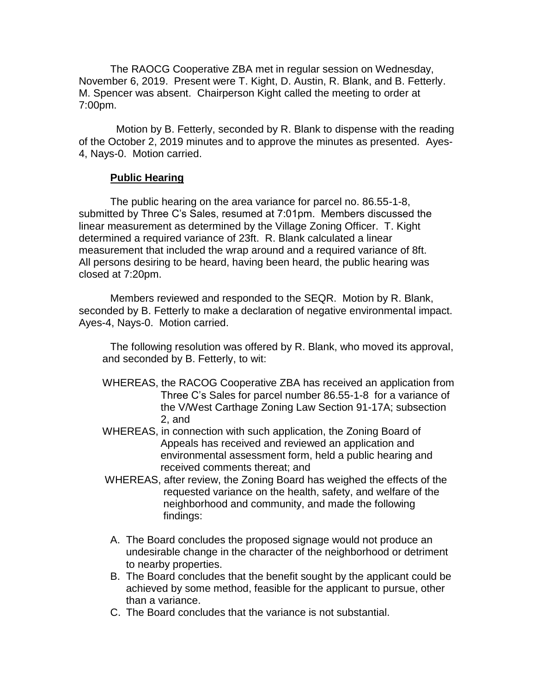The RAOCG Cooperative ZBA met in regular session on Wednesday, November 6, 2019. Present were T. Kight, D. Austin, R. Blank, and B. Fetterly. M. Spencer was absent. Chairperson Kight called the meeting to order at 7:00pm.

 Motion by B. Fetterly, seconded by R. Blank to dispense with the reading of the October 2, 2019 minutes and to approve the minutes as presented. Ayes-4, Nays-0. Motion carried.

## **Public Hearing**

The public hearing on the area variance for parcel no. 86.55-1-8, submitted by Three C's Sales, resumed at 7:01pm. Members discussed the linear measurement as determined by the Village Zoning Officer. T. Kight determined a required variance of 23ft. R. Blank calculated a linear measurement that included the wrap around and a required variance of 8ft. All persons desiring to be heard, having been heard, the public hearing was closed at 7:20pm.

Members reviewed and responded to the SEQR. Motion by R. Blank, seconded by B. Fetterly to make a declaration of negative environmental impact. Ayes-4, Nays-0. Motion carried.

The following resolution was offered by R. Blank, who moved its approval, and seconded by B. Fetterly, to wit:

- WHEREAS, the RACOG Cooperative ZBA has received an application from Three C's Sales for parcel number 86.55-1-8 for a variance of the V/West Carthage Zoning Law Section 91-17A; subsection 2, and
- WHEREAS, in connection with such application, the Zoning Board of Appeals has received and reviewed an application and environmental assessment form, held a public hearing and received comments thereat; and
- WHEREAS, after review, the Zoning Board has weighed the effects of the requested variance on the health, safety, and welfare of the neighborhood and community, and made the following findings:
- A. The Board concludes the proposed signage would not produce an undesirable change in the character of the neighborhood or detriment to nearby properties.
- B. The Board concludes that the benefit sought by the applicant could be achieved by some method, feasible for the applicant to pursue, other than a variance.
- C. The Board concludes that the variance is not substantial.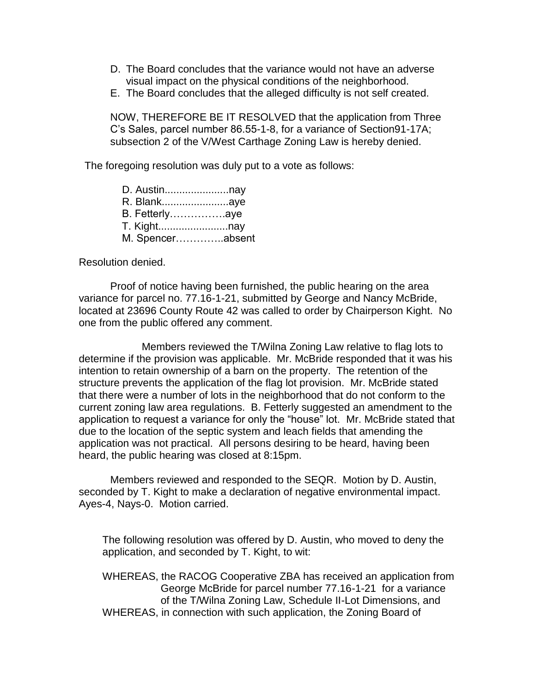- D. The Board concludes that the variance would not have an adverse visual impact on the physical conditions of the neighborhood.
- E. The Board concludes that the alleged difficulty is not self created.

NOW, THEREFORE BE IT RESOLVED that the application from Three C's Sales, parcel number 86.55-1-8, for a variance of Section91-17A; subsection 2 of the V/West Carthage Zoning Law is hereby denied.

The foregoing resolution was duly put to a vote as follows:

| D. Austinnay     |  |
|------------------|--|
| R. Blankaye      |  |
| B. Fetterlyaye   |  |
|                  |  |
| M. Spencerabsent |  |

Resolution denied.

Proof of notice having been furnished, the public hearing on the area variance for parcel no. 77.16-1-21, submitted by George and Nancy McBride, located at 23696 County Route 42 was called to order by Chairperson Kight. No one from the public offered any comment.

Members reviewed the T/Wilna Zoning Law relative to flag lots to determine if the provision was applicable. Mr. McBride responded that it was his intention to retain ownership of a barn on the property. The retention of the structure prevents the application of the flag lot provision. Mr. McBride stated that there were a number of lots in the neighborhood that do not conform to the current zoning law area regulations. B. Fetterly suggested an amendment to the application to request a variance for only the "house" lot. Mr. McBride stated that due to the location of the septic system and leach fields that amending the application was not practical. All persons desiring to be heard, having been heard, the public hearing was closed at 8:15pm.

Members reviewed and responded to the SEQR. Motion by D. Austin, seconded by T. Kight to make a declaration of negative environmental impact. Ayes-4, Nays-0. Motion carried.

The following resolution was offered by D. Austin, who moved to deny the application, and seconded by T. Kight, to wit:

WHEREAS, the RACOG Cooperative ZBA has received an application from George McBride for parcel number 77.16-1-21 for a variance of the T/Wilna Zoning Law, Schedule II-Lot Dimensions, and WHEREAS, in connection with such application, the Zoning Board of